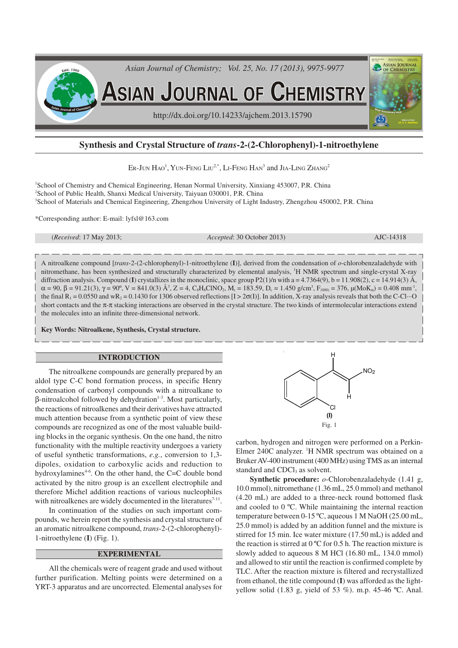

# **Synthesis and Crystal Structure of** *trans***-2-(2-Chlorophenyl)-1-nitroethylene**

Er-Jun Hao<sup>1</sup>, Yun-Feng Liu<sup>2,\*</sup>, Li-Feng Han<sup>3</sup> and Jia-Ling Zhang<sup>2</sup>

<sup>1</sup>School of Chemistry and Chemical Engineering, Henan Normal University, Xinxiang 453007, P.R. China <sup>2</sup>School of Public Health, Shanxi Medical University, Taiyuan 030001, P.R. China <sup>3</sup>School of Materials and Chemical Engineering, Zhengzhou University of Light Industry, Zhengzhou 450002, P.R. China

\*Corresponding author: E-mail: lyfsl@163.com

(*Received*: 17 May 2013; *Accepted*: 30 October 2013) AJC-14318

A nitroalkene compound [*trans*-2-(2-chlorophenyl)-1-nitroethylene (**I**)], derived from the condensation of *o*-chlorobenzaladehyde with nitromethane, has been synthesized and structurally characterized by elemental analysis, <sup>1</sup>H NMR spectrum and single-crystal X-ray diffraction analysis. Compound (**I**) crystallizes in the monoclinic, space group P2(1)/n with a = 4.7364(9), b = 11.908(2), c = 14.914(3) Å,  $\alpha = 90, \beta = 91.21(3), \gamma = 90^{\circ}, V = 841.0(3) \text{ Å}^3, Z = 4, C_8H_6CINO_2, M_r = 183.59, D_c = 1.450 \text{ g/cm}^3, F_{(000)} = 376, \mu(\text{MoK}_{\alpha}) = 0.408 \text{ mm}^{-1}$ the final  $R_1 = 0.0550$  and wR<sub>2</sub> = 0.1430 for 1306 observed reflections [I > 2 $\sigma$ (I)]. In addition, X-ray analysis reveals that both the C-Cl···O short contacts and the π-π stacking interactions are observed in the crystal structure. The two kinds of intermolecular interactions extend the molecules into an infinite three-dimensional network.

**Key Words: Nitroalkene, Synthesis, Crystal structure.**

#### **INTRODUCTION**

The nitroalkene compounds are generally prepared by an aldol type C-C bond formation process, in specific Henry condensation of carbonyl compounds with a nitroalkane to  $β$ -nitroalcohol followed by dehydration<sup>1-3</sup>. Most particularly, the reactions of nitroalkenes and their derivatives have attracted much attention because from a synthetic point of view these compounds are recognized as one of the most valuable building blocks in the organic synthesis. On the one hand, the nitro functionality with the multiple reactivity undergoes a variety of useful synthetic transformations, *e.g.*, conversion to 1,3 dipoles, oxidation to carboxylic acids and reduction to hydroxylamines<sup> $4-6$ </sup>. On the other hand, the C=C double bond activated by the nitro group is an excellent electrophile and therefore Michel addition reactions of various nucleophiles with nitroalkenes are widely documented in the literatures $7-11$ .

In continuation of the studies on such important compounds, we herein report the synthesis and crystal structure of an aromatic nitroalkene compound, *trans*-2-(2-chlorophenyl)- 1-nitroethylene (**I**) (Fig. 1).

## **EXPERIMENTAL**

All the chemicals were of reagent grade and used without further purification. Melting points were determined on a YRT-3 apparatus and are uncorrected. Elemental analyses for



carbon, hydrogen and nitrogen were performed on a Perkin-Elmer 240C analyzer. <sup>1</sup>H NMR spectrum was obtained on a Bruker AV-400 instrument (400 MHz) using TMS as an internal standard and CDCl<sub>3</sub> as solvent.

**Synthetic procedure:** *o*-Chlorobenzaladehyde (1.41 g, 10.0 mmol), nitromethane (1.36 mL, 25.0 mmol) and methanol (4.20 mL) are added to a three-neck round bottomed flask and cooled to 0 ºC. While maintaining the internal reaction temperature between 0-15 ºC, aqueous 1 M NaOH (25.00 mL, 25.0 mmol) is added by an addition funnel and the mixture is stirred for 15 min. Ice water mixture (17.50 mL) is added and the reaction is stirred at  $0^{\circ}$ C for 0.5 h. The reaction mixture is slowly added to aqueous 8 M HCl (16.80 mL, 134.0 mmol) and allowed to stir until the reaction is confirmed complete by TLC. After the reaction mixture is filtered and recrystallized from ethanol, the title compound (**I**) was afforded as the lightyellow solid (1.83 g, yield of 53 %). m.p. 45-46 ºC. Anal.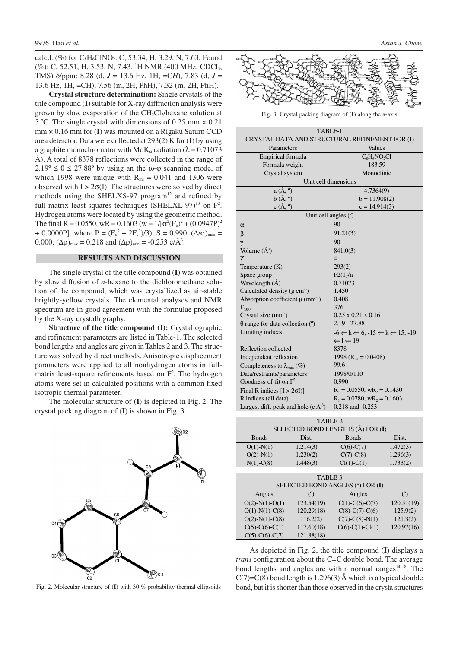calcd. (%) for  $C_8H_6CINO_2$ : C, 53.34, H, 3.29, N, 7.63. Found (%): C, 52.51, H, 3.53, N, 7.43. <sup>1</sup>H NMR (400 MHz, CDCl<sub>3</sub>, TMS) δ/ppm: 8.28 (d, *J* = 13.6 Hz, 1H, =C*H*), 7.83 (d, *J* = 13.6 Hz, 1H, =CH), 7.56 (m, 2H, PhH), 7.32 (m, 2H, PhH).

**Crystal structure determination:** Single crystals of the title compound (**I**) suitable for X-ray diffraction analysis were grown by slow evaporation of the CH<sub>2</sub>Cl<sub>2</sub>/hexane solution at 5 ºC. The single crystal with dimensions of 0.25 mm × 0.21 mm × 0.16 mm for (**I**) was mounted on a Rigaku Saturn CCD area deterctor. Data were collected at 293(2) K for (**I**) by using a graphite monochromator with  $M \alpha$  radiation ( $\lambda = 0.71073$ ) Å). A total of 8378 reflections were collected in the range of  $2.19^{\circ} \le \theta \le 27.88^{\circ}$  by using an the  $\omega$ - $\varphi$  scanning mode, of which 1998 were unique with  $R_{int} = 0.041$  and 1306 were observed with  $I > 2\sigma(I)$ . The structures were solved by direct methods using the SHELXS-97 program $12$  and refined by full-matrix least-squares techniques (SHELXL-97)<sup>13</sup> on  $F^2$ . Hydrogen atoms were located by using the geometric method. The final R = 0.0550, wR = 0.1603 (w =  $1/[\sigma^2(F_0)^2 + (0.0947P)^2]$ + 0.0000P], where P =  $(F_o^2 + 2F_c^2)/3$ , S = 0.990,  $(\Delta/\sigma)_{\text{max}}$  = 0.000,  $(\Delta \rho)_{\text{max}} = 0.218$  and  $(\Delta \rho)_{\text{min}} = -0.253 \text{ e}/\text{\AA}^3$ .

## **RESULTS AND DISCUSSION**

The single crystal of the title compound (**I**) was obtained by slow diffusion of *n*-hexane to the dichloromethane solution of the compound, which was crystallized as air-stable brightly-yellow crystals. The elemental analyses and NMR spectrum are in good agreement with the formulae proposed by the X-ray crystallography.

**Structure of the title compound (I):** Crystallographic and refinement parameters are listed in Table-1. The selected bond lengths and angles are given in Tables 2 and 3. The structure was solved by direct methods. Anisotropic displacement parameters were applied to all nonhydrogen atoms in fullmatrix least-square refinements based on  $F<sup>2</sup>$ . The hydrogen atoms were set in calculated positions with a common fixed isotropic thermal parameter.

The molecular structure of (**I**) is depicted in Fig. 2. The crystal packing diagram of (**I**) is shown in Fig. 3.



Fig. 2. Molecular structure of (**I**) with 30 % probability thermal ellipsoids



Fig. 3. Crystal packing diagram of (**I**) along the a-axis

| TABLE-1<br>CRYSTAL DATA AND STRUCTURAL REFINEMENT FOR (I) |                                                                     |  |  |
|-----------------------------------------------------------|---------------------------------------------------------------------|--|--|
| Parameters                                                | Values                                                              |  |  |
| Empirical formula                                         | $C_8H_6NO_2Cl$                                                      |  |  |
| Formula weight                                            | 183.59                                                              |  |  |
| Crystal system                                            | Monoclinic                                                          |  |  |
|                                                           | Unit cell dimensions                                                |  |  |
| $a(A, \degree)$                                           | 4.7364(9)                                                           |  |  |
| $b(A, \degree)$                                           | $b = 11.908(2)$                                                     |  |  |
| $c(A, \degree)$                                           | $c = 14.914(3)$                                                     |  |  |
| Unit cell angles (°)                                      |                                                                     |  |  |
| $\alpha$                                                  | 90                                                                  |  |  |
| $\beta$                                                   | 91.21(3)                                                            |  |  |
| $\gamma$                                                  | 90                                                                  |  |  |
| Volume $(A^3)$                                            | 841.0(3)                                                            |  |  |
| Z                                                         | $\overline{4}$                                                      |  |  |
| Temperature $(K)$                                         | 293(2)                                                              |  |  |
| Space group                                               | P2(1)/n                                                             |  |  |
| Wavelength (Å)                                            | 0.71073                                                             |  |  |
| Calculated density $(g \text{ cm}^3)$                     | 1.450                                                               |  |  |
| Absorption coefficient $\mu$ (mm <sup>-1</sup> )          | 0.408                                                               |  |  |
| $F_{(000)}$                                               | 376                                                                 |  |  |
| Crystal size $(mm3)$                                      | $0.25 \times 0.21 \times 0.16$                                      |  |  |
| $\theta$ range for data collection ( $\degree$ )          | $2.19 - 27.88$                                                      |  |  |
| Limiting indices                                          | $-6 \Leftarrow h \Leftarrow 6, -15 \Leftarrow k \Leftarrow 15, -19$ |  |  |
|                                                           | $\Leftarrow$ 1 $\Leftarrow$ 19                                      |  |  |
| Reflection collected                                      | 8378                                                                |  |  |
| Independent reflection                                    | 1998 ( $R_{int} = 0.0408$ )                                         |  |  |
| Completeness to $\lambda_{\text{max}}$ (%)                | 99.6                                                                |  |  |
| Data/restraints/parameters                                | 1998/0/110                                                          |  |  |
| Goodness-of-fit on $F^2$                                  | 0.990                                                               |  |  |
| Final R indices $[I > 2\sigma I]$                         | $R_1 = 0.0550$ , w $R_2 = 0.1430$                                   |  |  |
| R indices (all data)                                      | $R_1 = 0.0780$ , $wR_2 = 0.1603$                                    |  |  |
| Largest diff. peak and hole (e $A^{-3}$ )                 | 0.218 and -0.253                                                    |  |  |
|                                                           |                                                                     |  |  |

| TABLE-2                           |          |                 |          |  |  |
|-----------------------------------|----------|-----------------|----------|--|--|
| SELECTED BOND LENGTHS (Å) FOR (I) |          |                 |          |  |  |
| <b>B</b> onds                     | Dist.    | <b>Bonds</b>    | Dist.    |  |  |
| $O(1)$ -N(1)                      | 1.214(3) | $C(6)-C(7)$     | 1.472(3) |  |  |
| $O(2)$ -N(1)                      | 1.230(2) | $C(7)$ - $C(8)$ | 1.296(3) |  |  |
| $N(1)-C(8)$                       | 1.448(3) | $Cl(1)-C(1)$    | 1.733(2) |  |  |

| TABLE-3<br>SELECTED BOND ANGLES (°) FOR (I) |            |                          |            |  |
|---------------------------------------------|------------|--------------------------|------------|--|
| Angles                                      |            | Angles                   |            |  |
| $O(2)$ -N(1)-O(1)                           | 123.54(19) | $C(1)-C(6)-C(7)$         | 120.51(19) |  |
| $O(1)$ -N(1)-C(8)                           | 120.29(18) | $C(8)-C(7)-C(6)$         | 125.9(2)   |  |
| $O(2)$ -N(1)-C(8)                           | 116.2(2)   | $C(7)$ - $C(8)$ - $N(1)$ | 121.3(2)   |  |
| $C(5)-C(6)-C(1)$                            | 117.60(18) | $C(6)-C(1)-Cl(1)$        | 120.97(16) |  |
| $C(5)-C(6)-C(7)$                            | 121.88(18) |                          |            |  |

As depicted in Fig. 2, the title compound (**I**) displays a *trans* configuration about the C=C double bond. The average bond lengths and angles are within normal ranges $14-18$ . The  $C(7)=C(8)$  bond length is 1.296(3) Å which is a typical double bond, but it is shorter than those observed in the crysta structures